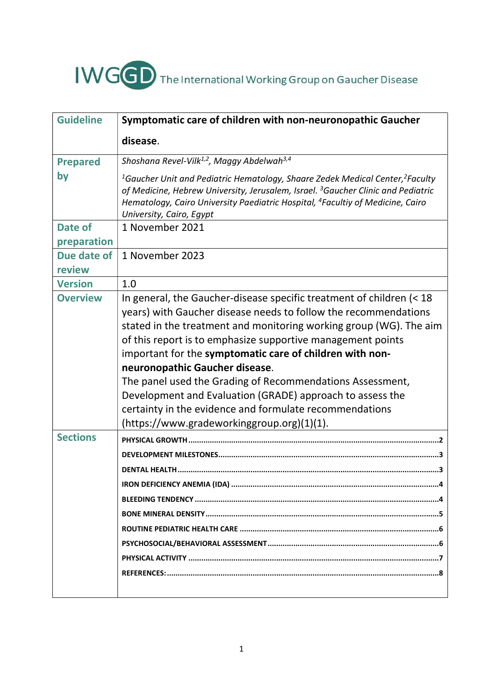

| <b>Guideline</b> | Symptomatic care of children with non-neuronopathic Gaucher                                                                                                                                                                                                                                                                                                                                                                                                                                                                                                     |
|------------------|-----------------------------------------------------------------------------------------------------------------------------------------------------------------------------------------------------------------------------------------------------------------------------------------------------------------------------------------------------------------------------------------------------------------------------------------------------------------------------------------------------------------------------------------------------------------|
|                  | disease.                                                                                                                                                                                                                                                                                                                                                                                                                                                                                                                                                        |
| <b>Prepared</b>  | Shoshana Revel-Vilk <sup>1,2</sup> , Maggy Abdelwah <sup>3,4</sup>                                                                                                                                                                                                                                                                                                                                                                                                                                                                                              |
| by               | <sup>1</sup> Gaucher Unit and Pediatric Hematology, Shaare Zedek Medical Center, <sup>2</sup> Faculty<br>of Medicine, Hebrew University, Jerusalem, Israel. <sup>3</sup> Gaucher Clinic and Pediatric<br>Hematology, Cairo University Paediatric Hospital, <sup>4</sup> Facultiy of Medicine, Cairo<br>University, Cairo, Egypt                                                                                                                                                                                                                                 |
| Date of          | 1 November 2021                                                                                                                                                                                                                                                                                                                                                                                                                                                                                                                                                 |
| preparation      |                                                                                                                                                                                                                                                                                                                                                                                                                                                                                                                                                                 |
| Due date of      | 1 November 2023                                                                                                                                                                                                                                                                                                                                                                                                                                                                                                                                                 |
| review           |                                                                                                                                                                                                                                                                                                                                                                                                                                                                                                                                                                 |
| <b>Version</b>   | 1.0                                                                                                                                                                                                                                                                                                                                                                                                                                                                                                                                                             |
| <b>Overview</b>  | In general, the Gaucher-disease specific treatment of children (< 18<br>years) with Gaucher disease needs to follow the recommendations<br>stated in the treatment and monitoring working group (WG). The aim<br>of this report is to emphasize supportive management points<br>important for the symptomatic care of children with non-<br>neuronopathic Gaucher disease.<br>The panel used the Grading of Recommendations Assessment,<br>Development and Evaluation (GRADE) approach to assess the<br>certainty in the evidence and formulate recommendations |
|                  | (https://www.gradeworkinggroup.org)(1)(1).                                                                                                                                                                                                                                                                                                                                                                                                                                                                                                                      |
| <b>Sections</b>  |                                                                                                                                                                                                                                                                                                                                                                                                                                                                                                                                                                 |
|                  |                                                                                                                                                                                                                                                                                                                                                                                                                                                                                                                                                                 |
|                  |                                                                                                                                                                                                                                                                                                                                                                                                                                                                                                                                                                 |
|                  |                                                                                                                                                                                                                                                                                                                                                                                                                                                                                                                                                                 |
|                  |                                                                                                                                                                                                                                                                                                                                                                                                                                                                                                                                                                 |
|                  |                                                                                                                                                                                                                                                                                                                                                                                                                                                                                                                                                                 |
|                  |                                                                                                                                                                                                                                                                                                                                                                                                                                                                                                                                                                 |
|                  |                                                                                                                                                                                                                                                                                                                                                                                                                                                                                                                                                                 |
|                  |                                                                                                                                                                                                                                                                                                                                                                                                                                                                                                                                                                 |
|                  |                                                                                                                                                                                                                                                                                                                                                                                                                                                                                                                                                                 |
|                  |                                                                                                                                                                                                                                                                                                                                                                                                                                                                                                                                                                 |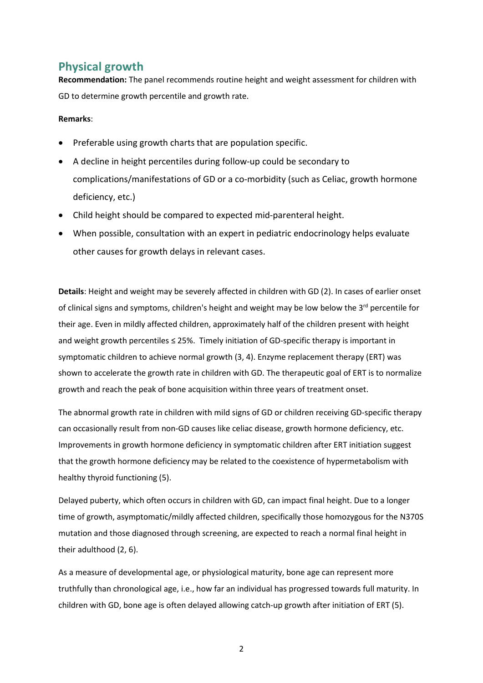# Physical growth

Recommendation: The panel recommends routine height and weight assessment for children with GD to determine growth percentile and growth rate.

#### Remarks:

- Preferable using growth charts that are population specific.
- A decline in height percentiles during follow-up could be secondary to complications/manifestations of GD or a co-morbidity (such as Celiac, growth hormone deficiency, etc.)
- Child height should be compared to expected mid-parenteral height.
- When possible, consultation with an expert in pediatric endocrinology helps evaluate other causes for growth delays in relevant cases.

Details: Height and weight may be severely affected in children with GD (2). In cases of earlier onset of clinical signs and symptoms, children's height and weight may be low below the 3<sup>rd</sup> percentile for their age. Even in mildly affected children, approximately half of the children present with height and weight growth percentiles ≤ 25%. Timely initiation of GD-specific therapy is important in symptomatic children to achieve normal growth (3, 4). Enzyme replacement therapy (ERT) was shown to accelerate the growth rate in children with GD. The therapeutic goal of ERT is to normalize growth and reach the peak of bone acquisition within three years of treatment onset.

The abnormal growth rate in children with mild signs of GD or children receiving GD-specific therapy can occasionally result from non-GD causes like celiac disease, growth hormone deficiency, etc. Improvements in growth hormone deficiency in symptomatic children after ERT initiation suggest that the growth hormone deficiency may be related to the coexistence of hypermetabolism with healthy thyroid functioning (5).

Delayed puberty, which often occurs in children with GD, can impact final height. Due to a longer time of growth, asymptomatic/mildly affected children, specifically those homozygous for the N370S mutation and those diagnosed through screening, are expected to reach a normal final height in their adulthood (2, 6).

As a measure of developmental age, or physiological maturity, bone age can represent more truthfully than chronological age, i.e., how far an individual has progressed towards full maturity. In children with GD, bone age is often delayed allowing catch-up growth after initiation of ERT (5).

2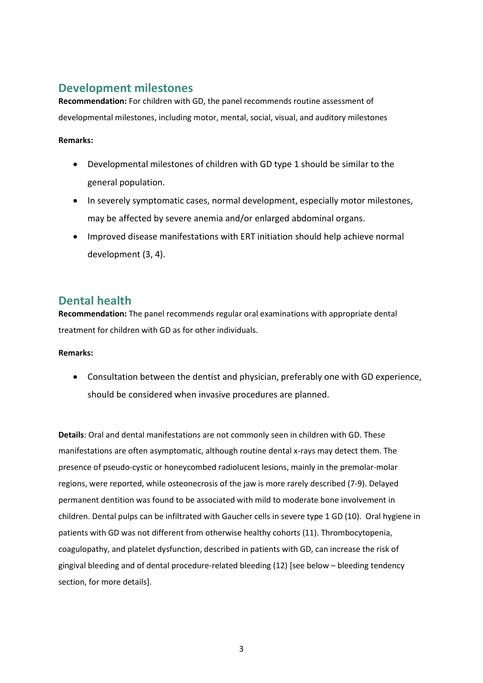# Development milestones

Recommendation: For children with GD, the panel recommends routine assessment of developmental milestones, including motor, mental, social, visual, and auditory milestones

### Remarks:

- Developmental milestones of children with GD type 1 should be similar to the general population.
- In severely symptomatic cases, normal development, especially motor milestones, may be affected by severe anemia and/or enlarged abdominal organs.
- Improved disease manifestations with ERT initiation should help achieve normal development (3, 4).

# Dental health

Recommendation: The panel recommends regular oral examinations with appropriate dental treatment for children with GD as for other individuals.

### Remarks:

 Consultation between the dentist and physician, preferably one with GD experience, should be considered when invasive procedures are planned.

Details: Oral and dental manifestations are not commonly seen in children with GD. These manifestations are often asymptomatic, although routine dental x-rays may detect them. The presence of pseudo-cystic or honeycombed radiolucent lesions, mainly in the premolar-molar regions, were reported, while osteonecrosis of the jaw is more rarely described (7-9). Delayed permanent dentition was found to be associated with mild to moderate bone involvement in children. Dental pulps can be infiltrated with Gaucher cells in severe type 1 GD (10). Oral hygiene in patients with GD was not different from otherwise healthy cohorts (11). Thrombocytopenia, coagulopathy, and platelet dysfunction, described in patients with GD, can increase the risk of gingival bleeding and of dental procedure-related bleeding (12) [see below – bleeding tendency section, for more details].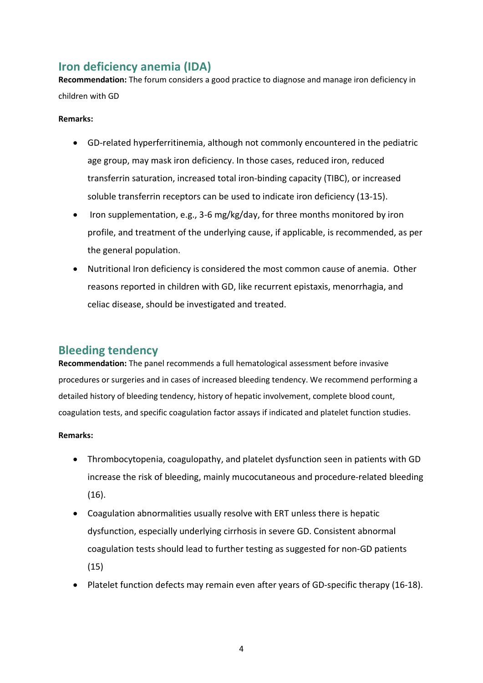# Iron deficiency anemia (IDA)

Recommendation: The forum considers a good practice to diagnose and manage iron deficiency in children with GD

### Remarks:

- GD-related hyperferritinemia, although not commonly encountered in the pediatric age group, may mask iron deficiency. In those cases, reduced iron, reduced transferrin saturation, increased total iron-binding capacity (TIBC), or increased soluble transferrin receptors can be used to indicate iron deficiency (13-15).
- Iron supplementation, e.g., 3-6 mg/kg/day, for three months monitored by iron profile, and treatment of the underlying cause, if applicable, is recommended, as per the general population.
- Nutritional Iron deficiency is considered the most common cause of anemia. Other reasons reported in children with GD, like recurrent epistaxis, menorrhagia, and celiac disease, should be investigated and treated.

# Bleeding tendency

Recommendation: The panel recommends a full hematological assessment before invasive procedures or surgeries and in cases of increased bleeding tendency. We recommend performing a detailed history of bleeding tendency, history of hepatic involvement, complete blood count, coagulation tests, and specific coagulation factor assays if indicated and platelet function studies.

### Remarks:

- Thrombocytopenia, coagulopathy, and platelet dysfunction seen in patients with GD increase the risk of bleeding, mainly mucocutaneous and procedure-related bleeding (16).
- Coagulation abnormalities usually resolve with ERT unless there is hepatic dysfunction, especially underlying cirrhosis in severe GD. Consistent abnormal coagulation tests should lead to further testing as suggested for non-GD patients (15)
- Platelet function defects may remain even after years of GD-specific therapy (16-18).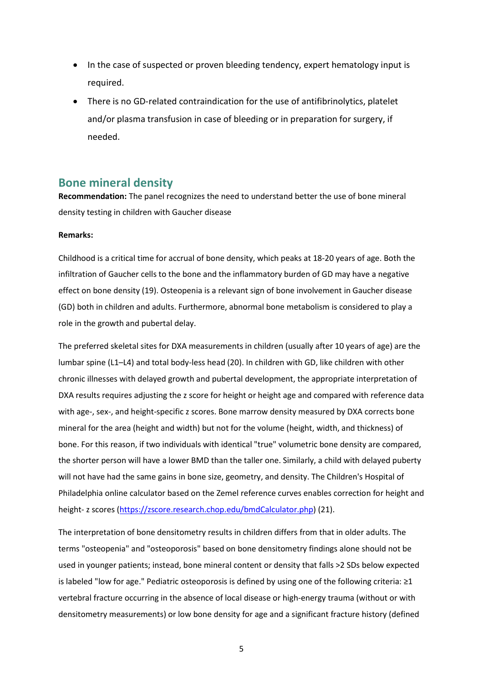- In the case of suspected or proven bleeding tendency, expert hematology input is required.
- There is no GD-related contraindication for the use of antifibrinolytics, platelet and/or plasma transfusion in case of bleeding or in preparation for surgery, if needed.

### Bone mineral density

Recommendation: The panel recognizes the need to understand better the use of bone mineral density testing in children with Gaucher disease

#### Remarks:

Childhood is a critical time for accrual of bone density, which peaks at 18-20 years of age. Both the infiltration of Gaucher cells to the bone and the inflammatory burden of GD may have a negative effect on bone density (19). Osteopenia is a relevant sign of bone involvement in Gaucher disease (GD) both in children and adults. Furthermore, abnormal bone metabolism is considered to play a role in the growth and pubertal delay.

The preferred skeletal sites for DXA measurements in children (usually after 10 years of age) are the lumbar spine (L1–L4) and total body-less head (20). In children with GD, like children with other chronic illnesses with delayed growth and pubertal development, the appropriate interpretation of DXA results requires adjusting the z score for height or height age and compared with reference data with age-, sex-, and height-specific z scores. Bone marrow density measured by DXA corrects bone mineral for the area (height and width) but not for the volume (height, width, and thickness) of bone. For this reason, if two individuals with identical "true" volumetric bone density are compared, the shorter person will have a lower BMD than the taller one. Similarly, a child with delayed puberty will not have had the same gains in bone size, geometry, and density. The Children's Hospital of Philadelphia online calculator based on the Zemel reference curves enables correction for height and height- z scores (https://zscore.research.chop.edu/bmdCalculator.php) (21).

The interpretation of bone densitometry results in children differs from that in older adults. The terms "osteopenia" and "osteoporosis" based on bone densitometry findings alone should not be used in younger patients; instead, bone mineral content or density that falls >2 SDs below expected is labeled "low for age." Pediatric osteoporosis is defined by using one of the following criteria: ≥1 vertebral fracture occurring in the absence of local disease or high-energy trauma (without or with densitometry measurements) or low bone density for age and a significant fracture history (defined

5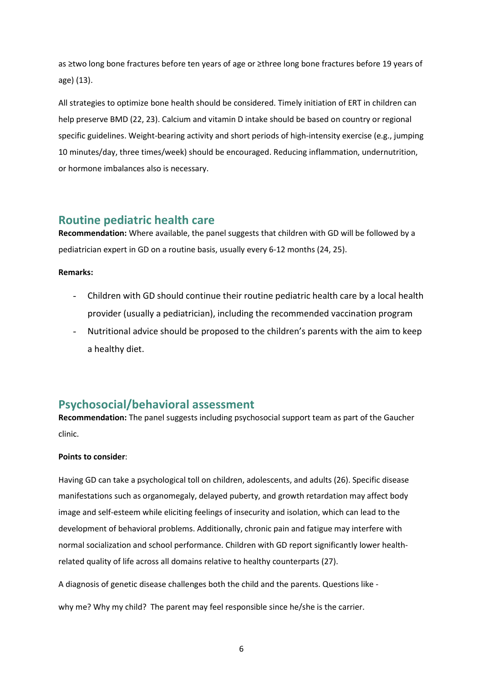as ≥two long bone fractures before ten years of age or ≥three long bone fractures before 19 years of age) (13).

All strategies to optimize bone health should be considered. Timely initiation of ERT in children can help preserve BMD (22, 23). Calcium and vitamin D intake should be based on country or regional specific guidelines. Weight-bearing activity and short periods of high-intensity exercise (e.g., jumping 10 minutes/day, three times/week) should be encouraged. Reducing inflammation, undernutrition, or hormone imbalances also is necessary.

# Routine pediatric health care

Recommendation: Where available, the panel suggests that children with GD will be followed by a pediatrician expert in GD on a routine basis, usually every 6-12 months (24, 25).

### Remarks:

- Children with GD should continue their routine pediatric health care by a local health provider (usually a pediatrician), including the recommended vaccination program
- Nutritional advice should be proposed to the children's parents with the aim to keep a healthy diet.

# Psychosocial/behavioral assessment

Recommendation: The panel suggests including psychosocial support team as part of the Gaucher clinic.

### Points to consider:

Having GD can take a psychological toll on children, adolescents, and adults (26). Specific disease manifestations such as organomegaly, delayed puberty, and growth retardation may affect body image and self-esteem while eliciting feelings of insecurity and isolation, which can lead to the development of behavioral problems. Additionally, chronic pain and fatigue may interfere with normal socialization and school performance. Children with GD report significantly lower healthrelated quality of life across all domains relative to healthy counterparts (27).

A diagnosis of genetic disease challenges both the child and the parents. Questions like -

why me? Why my child? The parent may feel responsible since he/she is the carrier.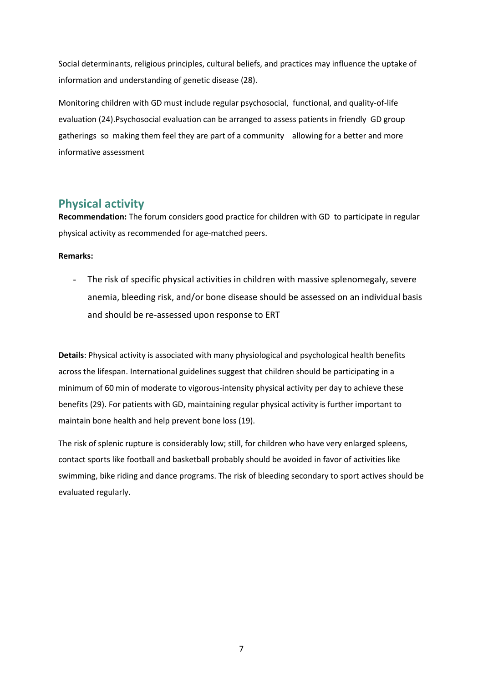Social determinants, religious principles, cultural beliefs, and practices may influence the uptake of information and understanding of genetic disease (28).

Monitoring children with GD must include regular psychosocial, functional, and quality-of-life evaluation (24).Psychosocial evaluation can be arranged to assess patients in friendly GD group gatherings so making them feel they are part of a community allowing for a better and more informative assessment

# Physical activity

Recommendation: The forum considers good practice for children with GD to participate in regular physical activity as recommended for age-matched peers.

### Remarks:

The risk of specific physical activities in children with massive splenomegaly, severe anemia, bleeding risk, and/or bone disease should be assessed on an individual basis and should be re-assessed upon response to ERT

Details: Physical activity is associated with many physiological and psychological health benefits across the lifespan. International guidelines suggest that children should be participating in a minimum of 60 min of moderate to vigorous-intensity physical activity per day to achieve these benefits (29). For patients with GD, maintaining regular physical activity is further important to maintain bone health and help prevent bone loss (19).

The risk of splenic rupture is considerably low; still, for children who have very enlarged spleens, contact sports like football and basketball probably should be avoided in favor of activities like swimming, bike riding and dance programs. The risk of bleeding secondary to sport actives should be evaluated regularly.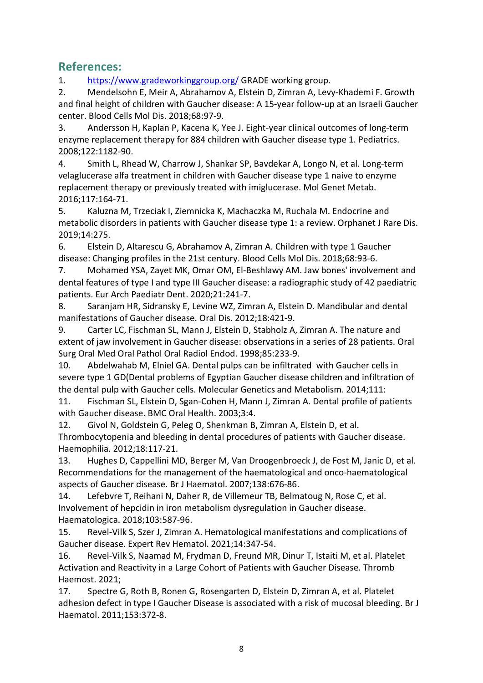# References:

1. https://www.gradeworkinggroup.org/ GRADE working group.

2. Mendelsohn E, Meir A, Abrahamov A, Elstein D, Zimran A, Levy-Khademi F. Growth and final height of children with Gaucher disease: A 15-year follow-up at an Israeli Gaucher center. Blood Cells Mol Dis. 2018;68:97-9.

3. Andersson H, Kaplan P, Kacena K, Yee J. Eight-year clinical outcomes of long-term enzyme replacement therapy for 884 children with Gaucher disease type 1. Pediatrics. 2008;122:1182-90.

4. Smith L, Rhead W, Charrow J, Shankar SP, Bavdekar A, Longo N, et al. Long-term velaglucerase alfa treatment in children with Gaucher disease type 1 naive to enzyme replacement therapy or previously treated with imiglucerase. Mol Genet Metab. 2016;117:164-71.

5. Kaluzna M, Trzeciak I, Ziemnicka K, Machaczka M, Ruchala M. Endocrine and metabolic disorders in patients with Gaucher disease type 1: a review. Orphanet J Rare Dis. 2019;14:275.

6. Elstein D, Altarescu G, Abrahamov A, Zimran A. Children with type 1 Gaucher disease: Changing profiles in the 21st century. Blood Cells Mol Dis. 2018;68:93-6.

7. Mohamed YSA, Zayet MK, Omar OM, El-Beshlawy AM. Jaw bones' involvement and dental features of type I and type III Gaucher disease: a radiographic study of 42 paediatric patients. Eur Arch Paediatr Dent. 2020;21:241-7.

8. Saranjam HR, Sidransky E, Levine WZ, Zimran A, Elstein D. Mandibular and dental manifestations of Gaucher disease. Oral Dis. 2012;18:421-9.

9. Carter LC, Fischman SL, Mann J, Elstein D, Stabholz A, Zimran A. The nature and extent of jaw involvement in Gaucher disease: observations in a series of 28 patients. Oral Surg Oral Med Oral Pathol Oral Radiol Endod. 1998;85:233-9.

10. Abdelwahab M, Elniel GA. Dental pulps can be infiltrated with Gaucher cells in severe type 1 GD(Dental problems of Egyptian Gaucher disease children and infiltration of the dental pulp with Gaucher cells. Molecular Genetics and Metabolism. 2014;111:

11. Fischman SL, Elstein D, Sgan-Cohen H, Mann J, Zimran A. Dental profile of patients with Gaucher disease. BMC Oral Health. 2003;3:4.

12. Givol N, Goldstein G, Peleg O, Shenkman B, Zimran A, Elstein D, et al. Thrombocytopenia and bleeding in dental procedures of patients with Gaucher disease. Haemophilia. 2012;18:117-21.

13. Hughes D, Cappellini MD, Berger M, Van Droogenbroeck J, de Fost M, Janic D, et al. Recommendations for the management of the haematological and onco-haematological aspects of Gaucher disease. Br J Haematol. 2007;138:676-86.

14. Lefebvre T, Reihani N, Daher R, de Villemeur TB, Belmatoug N, Rose C, et al. Involvement of hepcidin in iron metabolism dysregulation in Gaucher disease. Haematologica. 2018;103:587-96.

15. Revel-Vilk S, Szer J, Zimran A. Hematological manifestations and complications of Gaucher disease. Expert Rev Hematol. 2021;14:347-54.

16. Revel-Vilk S, Naamad M, Frydman D, Freund MR, Dinur T, Istaiti M, et al. Platelet Activation and Reactivity in a Large Cohort of Patients with Gaucher Disease. Thromb Haemost. 2021;

17. Spectre G, Roth B, Ronen G, Rosengarten D, Elstein D, Zimran A, et al. Platelet adhesion defect in type I Gaucher Disease is associated with a risk of mucosal bleeding. Br J Haematol. 2011;153:372-8.